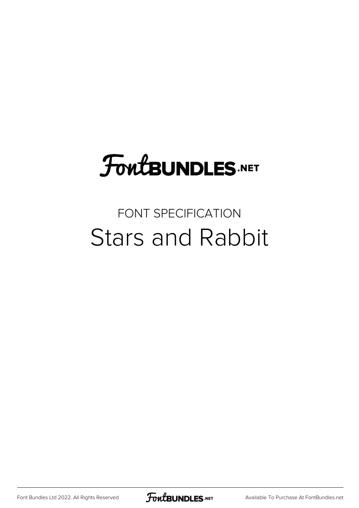# **FoutBUNDLES.NET**

#### FONT SPECIFICATION Stars and Rabbit

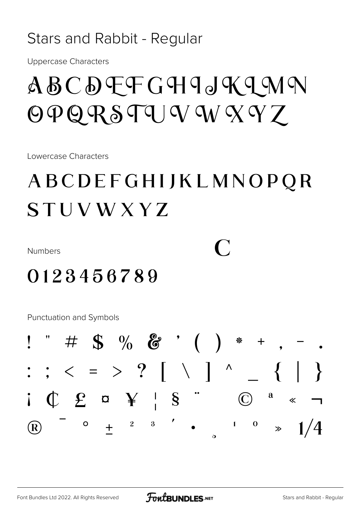#### Stars and Rabbit - Regular

**Uppercase Characters** 

## $ABC$   $D$   $F$   $F$   $G$   $H$   $I$   $J$   $K$   $I$   $M$   $N$  $\Theta$  Q R S T U V W X Y Z

Lowercase Characters

### ABCDEFGHIJKLMNOPQR STUVWXYZ

**Numbers** 

 $\bigcap$ 

#### 0123456789

**Punctuation and Symbols** 

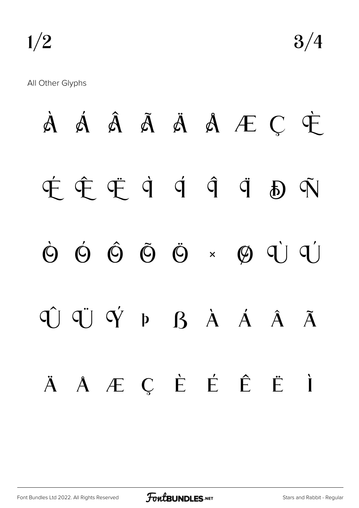$1/2$   $3/4$ 

All Other Glyphs

À Á Â Ã Ä Å Æ Ç È É Ê Ë Ì Í Î Ï Ð Ñ Ò Ó Ô Õ Ö × Ø Ù Ú Û Ü Ý Þ ß à á â ã ä å æ ç è é ê ë ì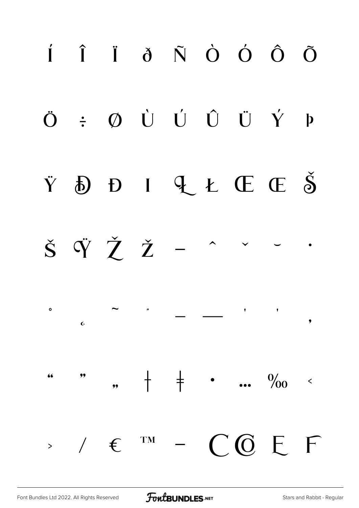